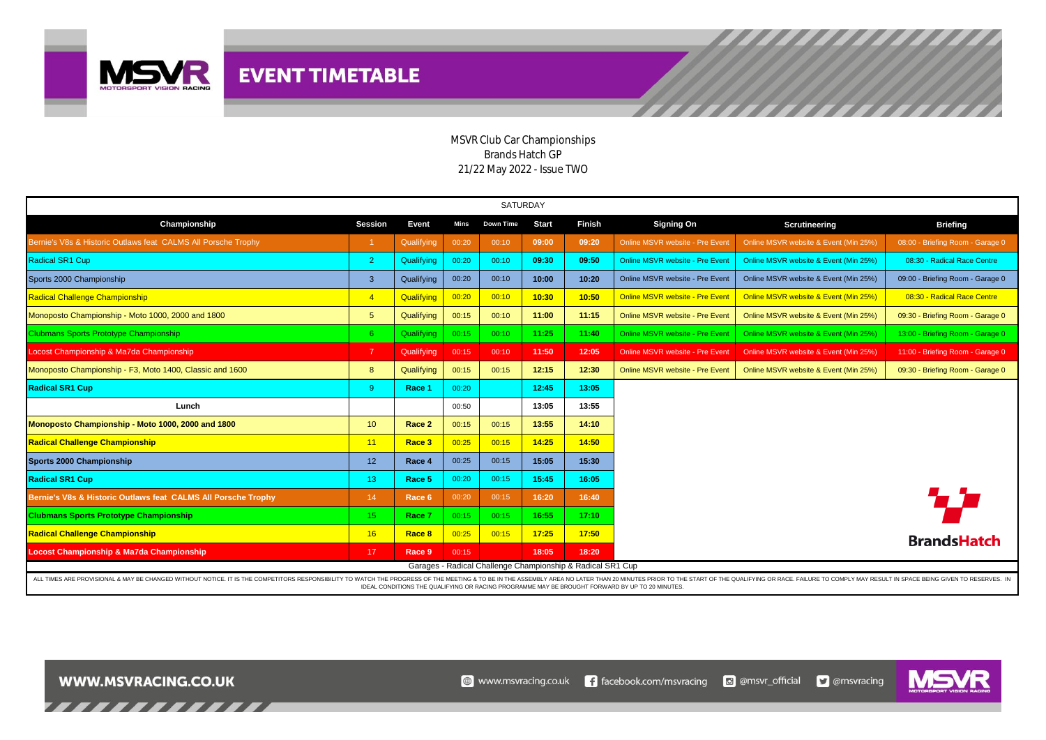

## MSVR Club Car Championships Brands Hatch GP 21/22 May 2022 - Issue TWO

| SATURDAY                                                                                                                                                                                                                                                                                     |                 |            |       |                  |              |               |                                 |                                       |                                  |  |  |  |
|----------------------------------------------------------------------------------------------------------------------------------------------------------------------------------------------------------------------------------------------------------------------------------------------|-----------------|------------|-------|------------------|--------------|---------------|---------------------------------|---------------------------------------|----------------------------------|--|--|--|
| Championship                                                                                                                                                                                                                                                                                 | <b>Session</b>  | Event      | Mins  | <b>Down Time</b> | <b>Start</b> | <b>Finish</b> | <b>Signing On</b>               | Scrutineering                         | <b>Briefing</b>                  |  |  |  |
| Bernie's V8s & Historic Outlaws feat CALMS All Porsche Trophy                                                                                                                                                                                                                                |                 | Qualifying | 00:20 | 00:10            | 09:00        | 09:20         | Online MSVR website - Pre Event | Online MSVR website & Event (Min 25%) | 08:00 - Briefing Room - Garage 0 |  |  |  |
| Radical SR1 Cup                                                                                                                                                                                                                                                                              | $\overline{2}$  | Qualifying | 00:20 | 00:10            | 09:30        | 09:50         | Online MSVR website - Pre Event | Online MSVR website & Event (Min 25%) | 08:30 - Radical Race Centre      |  |  |  |
| Sports 2000 Championship                                                                                                                                                                                                                                                                     | $\mathbf{3}$    | Qualifying | 00:20 | 00:10            | 10:00        | 10:20         | Online MSVR website - Pre Event | Online MSVR website & Event (Min 25%) | 09:00 - Briefing Room - Garage 0 |  |  |  |
| Radical Challenge Championship                                                                                                                                                                                                                                                               | $\overline{4}$  | Qualifying | 00:20 | 00:10            | 10:30        | 10:50         | Online MSVR website - Pre Event | Online MSVR website & Event (Min 25%) | 08:30 - Radical Race Centre      |  |  |  |
| Monoposto Championship - Moto 1000, 2000 and 1800                                                                                                                                                                                                                                            | $5^{\circ}$     | Qualifying | 00:15 | 00:10            | 11:00        | 11:15         | Online MSVR website - Pre Event | Online MSVR website & Event (Min 25%) | 09:30 - Briefing Room - Garage 0 |  |  |  |
| Clubmans Sports Prototype Championship                                                                                                                                                                                                                                                       | 6 <sup>°</sup>  | Qualifying | 00:15 | 00:10            | 11:25        | 11:40         | Online MSVR website - Pre Event | Online MSVR website & Event (Min 25%) | 13:00 - Briefing Room - Garage 0 |  |  |  |
| Locost Championship & Ma7da Championship                                                                                                                                                                                                                                                     | $\overline{7}$  | Qualifying | 00:15 | 00:10            | 11:50        | 12:05         | Online MSVR website - Pre Event | Online MSVR website & Event (Min 25%) | 11:00 - Briefing Room - Garage 0 |  |  |  |
| Monoposto Championship - F3, Moto 1400, Classic and 1600                                                                                                                                                                                                                                     | 8               | Qualifying | 00:15 | 00:15            | 12:15        | 12:30         | Online MSVR website - Pre Event | Online MSVR website & Event (Min 25%) | 09:30 - Briefing Room - Garage 0 |  |  |  |
| <b>Radical SR1 Cup</b>                                                                                                                                                                                                                                                                       | -9              | Race 1     | 00:20 |                  | 12:45        | 13:05         |                                 |                                       |                                  |  |  |  |
| Lunch                                                                                                                                                                                                                                                                                        |                 |            | 00:50 |                  | 13:05        | 13:55         |                                 |                                       |                                  |  |  |  |
| Monoposto Championship - Moto 1000, 2000 and 1800                                                                                                                                                                                                                                            | 10 <sup>°</sup> | Race 2     | 00:15 | 00:15            | 13:55        | 14:10         |                                 |                                       |                                  |  |  |  |
| <b>Radical Challenge Championship</b>                                                                                                                                                                                                                                                        | 11              | Race 3     | 00:25 | 00:15            | 14:25        | 14:50         |                                 |                                       |                                  |  |  |  |
| Sports 2000 Championship                                                                                                                                                                                                                                                                     | 12 <sup>2</sup> | Race 4     | 00:25 | 00:15            | 15:05        | 15:30         |                                 |                                       |                                  |  |  |  |
| <b>Radical SR1 Cup</b>                                                                                                                                                                                                                                                                       | 13 <sup>°</sup> | Race 5     | 00:20 | 00:15            | 15:45        | 16:05         |                                 |                                       |                                  |  |  |  |
| Bernie's V8s & Historic Outlaws feat CALMS All Porsche Trophy                                                                                                                                                                                                                                | 14              | Race 6     | 00:20 | 00:15            | 16:20        | 16:40         |                                 |                                       | 77                               |  |  |  |
| <b>Clubmans Sports Prototype Championship</b>                                                                                                                                                                                                                                                | 15 <sub>1</sub> | Race 7     | 00:15 | 00:15            | 16:55        | 17:10         |                                 |                                       |                                  |  |  |  |
| <b>Radical Challenge Championship</b>                                                                                                                                                                                                                                                        | 16              | Race 8     | 00:25 | 00:15            | 17:25        | 17:50         |                                 |                                       | <b>BrandsHatch</b>               |  |  |  |
| Locost Championship & Ma7da Championship                                                                                                                                                                                                                                                     | 17 <sup>2</sup> | Race 9     | 00:15 |                  | 18:05        | 18:20         |                                 |                                       |                                  |  |  |  |
| Garages - Radical Challenge Championship & Radical SR1 Cup<br>ALL TIMES ARE PROVISIONAL & MAY BE CHANGED WITHOUT NOTICE. IT IS THE COMPETITORS RESPONSIBILITY TO WATCH THE PROGRESS OF THE MEETING & TO BE IN THE ASSEMBLY AREA NO LATER THAN 20 MINUTES PRIOR TO THE START OF THE QUALIFYIN |                 |            |       |                  |              |               |                                 |                                       |                                  |  |  |  |

IDEAL CONDITIONS THE QUALIFYING OR RACING PROGRAMME MAY BE BROUGHT FORWARD BY UP TO 20 MINUTES.

,,,,,,,,,,,,,

MS